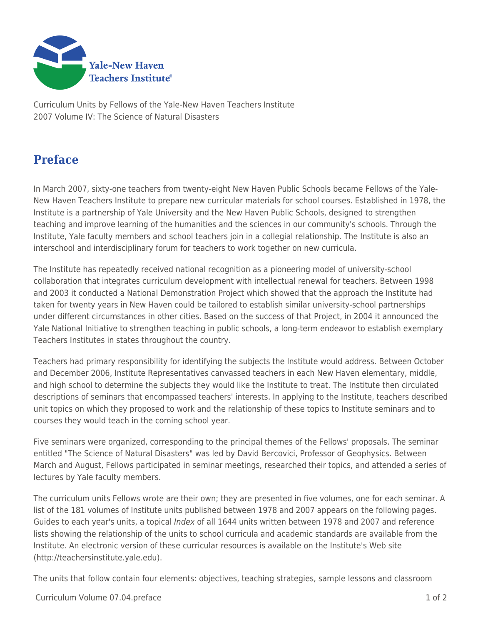

Curriculum Units by Fellows of the Yale-New Haven Teachers Institute 2007 Volume IV: The Science of Natural Disasters

## **Preface**

In March 2007, sixty-one teachers from twenty-eight New Haven Public Schools became Fellows of the Yale-New Haven Teachers Institute to prepare new curricular materials for school courses. Established in 1978, the Institute is a partnership of Yale University and the New Haven Public Schools, designed to strengthen teaching and improve learning of the humanities and the sciences in our community's schools. Through the Institute, Yale faculty members and school teachers join in a collegial relationship. The Institute is also an interschool and interdisciplinary forum for teachers to work together on new curricula.

The Institute has repeatedly received national recognition as a pioneering model of university-school collaboration that integrates curriculum development with intellectual renewal for teachers. Between 1998 and 2003 it conducted a National Demonstration Project which showed that the approach the Institute had taken for twenty years in New Haven could be tailored to establish similar university-school partnerships under different circumstances in other cities. Based on the success of that Project, in 2004 it announced the Yale National Initiative to strengthen teaching in public schools, a long-term endeavor to establish exemplary Teachers Institutes in states throughout the country.

Teachers had primary responsibility for identifying the subjects the Institute would address. Between October and December 2006, Institute Representatives canvassed teachers in each New Haven elementary, middle, and high school to determine the subjects they would like the Institute to treat. The Institute then circulated descriptions of seminars that encompassed teachers' interests. In applying to the Institute, teachers described unit topics on which they proposed to work and the relationship of these topics to Institute seminars and to courses they would teach in the coming school year.

Five seminars were organized, corresponding to the principal themes of the Fellows' proposals. The seminar entitled "The Science of Natural Disasters" was led by David Bercovici, Professor of Geophysics. Between March and August, Fellows participated in seminar meetings, researched their topics, and attended a series of lectures by Yale faculty members.

The curriculum units Fellows wrote are their own; they are presented in five volumes, one for each seminar. A list of the 181 volumes of Institute units published between 1978 and 2007 appears on the following pages. Guides to each year's units, a topical *Index* of all 1644 units written between 1978 and 2007 and reference lists showing the relationship of the units to school curricula and academic standards are available from the Institute. An electronic version of these curricular resources is available on the Institute's Web site (http://teachersinstitute.yale.edu).

The units that follow contain four elements: objectives, teaching strategies, sample lessons and classroom

Curriculum Volume 07.04.preface 1 of 2